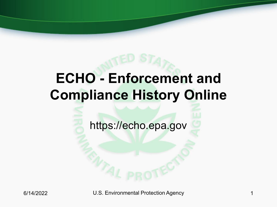# **ECHO - Enforcement and Compliance History Online**

https://echo.epa.gov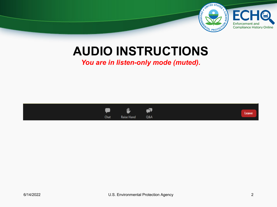

#### **AUDIO INSTRUCTIONS**

*You are in listen-only mode (muted).*

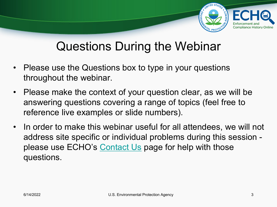

#### Questions During the Webinar

- Please use the Questions box to type in your questions throughout the webinar.
- Please make the context of your question clear, as we will be answering questions covering a range of topics (feel free to reference live examples or slide numbers).
- In order to make this webinar useful for all attendees, we will not address site specific or individual problems during this session - please use ECHO's [Contact Us](https://echo.epa.gov/resources/general-info/contact-us) page for help with those questions.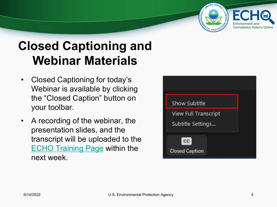

## **Closed Captioning and Webinar Materials**

- Closed Captioning for today's Webinar is available by clicking the "Closed Caption" button on your toolbar.
- A recording of the webinar, the presentation slides, and the transcript will be uploaded to the **[ECHO Training Page](http://www.echo.epa.gov/help/training) within the** next week.

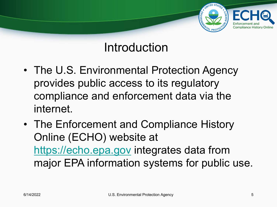

#### Introduction

- The U.S. Environmental Protection Agency provides public access to its regulatory compliance and enforcement data via the internet.
- The Enforcement and Compliance History Online (ECHO) website at [https://echo.epa.gov](https://echo.epa.gov/) integrates data from major EPA information systems for public use.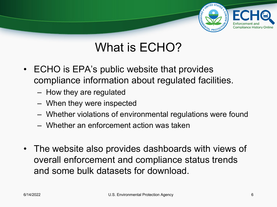

#### What is ECHO?

- ECHO is EPA's public website that provides compliance information about regulated facilities.
	- How they are regulated
	- When they were inspected
	- Whether violations of environmental regulations were found
	- Whether an enforcement action was taken
- The website also provides dashboards with views of overall enforcement and compliance status trends and some bulk datasets for download.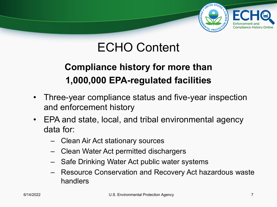

### ECHO Content

#### **Compliance history for more than 1,000,000 EPA-regulated facilities**

- Three-year compliance status and five-year inspection and enforcement history
- EPA and state, local, and tribal environmental agency data for:
	- Clean Air Act stationary sources
	- Clean Water Act permitted dischargers
	- Safe Drinking Water Act public water systems
	- Resource Conservation and Recovery Act hazardous waste handlers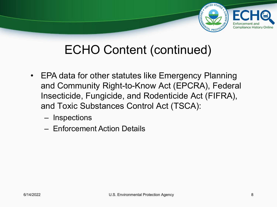

#### ECHO Content (continued)

- EPA data for other statutes like Emergency Planning and Community Right-to-Know Act (EPCRA), Federal Insecticide, Fungicide, and Rodenticide Act (FIFRA), and Toxic Substances Control Act (TSCA):
	- Inspections
	- Enforcement Action Details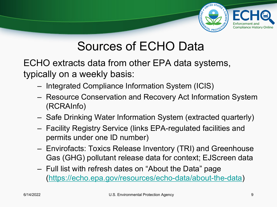

#### Sources of ECHO Data

ECHO extracts data from other EPA data systems, typically on a weekly basis:

- Integrated Compliance Information System (ICIS)
- Resource Conservation and Recovery Act Information System (RCRAInfo)
- Safe Drinking Water Information System (extracted quarterly)
- Facility Registry Service (links EPA-regulated facilities and permits under one ID number)
- Envirofacts: Toxics Release Inventory (TRI) and Greenhouse Gas (GHG) pollutant release data for context; EJScreen data
- Full list with refresh dates on "About the Data" page [\(https://echo.epa.gov/resources/echo-data/about-the-data](http://echo.epa.gov/resources/echo-data/about-the-data))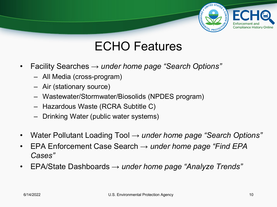## Enforcemen **Compliance History Online**

#### ECHO Features

- Facility Searches *→ under home page "Search Options"* 
	- All Media (cross-program)
	- Air (stationary source)
	- Wastewater/Stormwater/Biosolids (NPDES program)
	- Hazardous Waste (RCRA Subtitle C)
	- Drinking Water (public water systems)
- Water Pollutant Loading Tool *→ under home page "Search Options"*
- EPA Enforcement Case Search *→ under home page "Find EPA Cases"*
- EPA/State Dashboards *→ under home page "Analyze Trends"*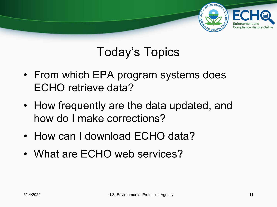#### Enforcemer **Compliance History Online**

## Today's Topics

- From which EPA program systems does ECHO retrieve data?
- How frequently are the data updated, and how do I make corrections?
- How can I download ECHO data?
- What are ECHO web services?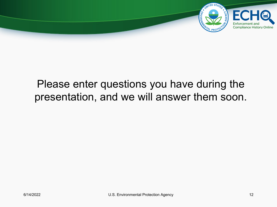

#### Please enter questions you have during the presentation, and we will answer them soon.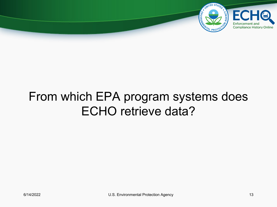

### From which EPA program systems does ECHO retrieve data?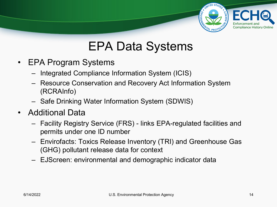

### EPA Data Systems

- EPA Program Systems
	- Integrated Compliance Information System (ICIS)
	- Resource Conservation and Recovery Act Information System (RCRAInfo)
	- Safe Drinking Water Information System (SDWIS)
- Additional Data
	- Facility Registry Service (FRS) links EPA-regulated facilities and permits under one ID number
	- Envirofacts: Toxics Release Inventory (TRI) and Greenhouse Gas (GHG) pollutant release data for context
	- EJScreen: environmental and demographic indicator data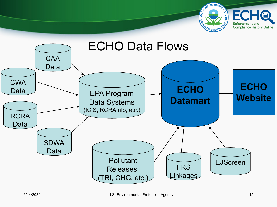

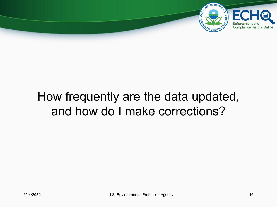

### How frequently are the data updated, and how do I make corrections?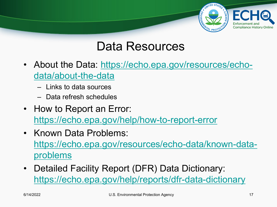

#### Data Resources

- [About the Data: https://echo.epa.gov/resources/echo](https://echo.epa.gov/resources/echo-data/about-the-data)data/about-the-data
	- Links to data sources
	- Data refresh schedules
- How to Report an Error: <https://echo.epa.gov/help/how-to-report-error>
- Known Data Problems: [https://echo.epa.gov/resources/echo-data/known-data](https://echo.epa.gov/resources/echo-data/known-data-problems)problems
- Detailed Facility Report (DFR) Data Dictionary: <https://echo.epa.gov/help/reports/dfr-data-dictionary>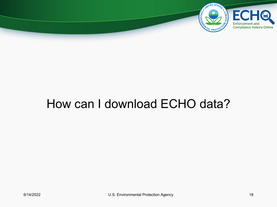

#### How can I download ECHO data?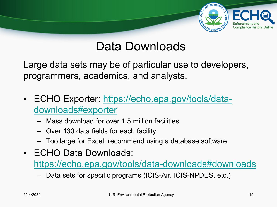

#### Data Downloads

Large data sets may be of particular use to developers, programmers, academics, and analysts.

- [ECHO Exporter: https://echo.epa.gov/tools/data](https://echo.epa.gov/tools/data-downloads#exporter)downloads#exporter
	- Mass download for over 1.5 million facilities
	- Over 130 data fields for each facility
	- Too large for Excel; recommend using a database software
- ECHO Data Downloads:

<https://echo.epa.gov/tools/data-downloads#downloads>

– Data sets for specific programs (ICIS-Air, ICIS-NPDES, etc.)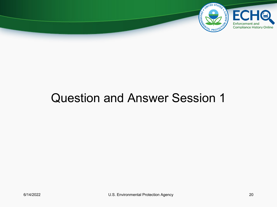

#### Question and Answer Session 1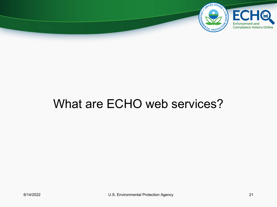

#### What are ECHO web services?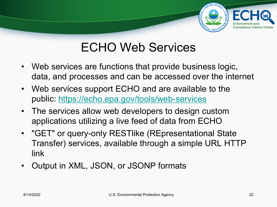## Enforcement and **Compliance History Online**

### ECHO Web Services

- Web services are functions that provide business logic, data, and processes and can be accessed over the internet
- Web services support ECHO and are available to the public:<https://echo.epa.gov/tools/web-services>
- The services allow web developers to design custom applications utilizing a live feed of data from ECHO
- "GET" or query-only RESTlike (REpresentational State Transfer) services, available through a simple URL HTTP link
- Output in XML, JSON, or JSONP formats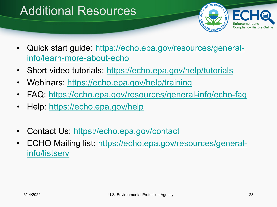### Additional Resources



- [Quick start guide: https://echo.epa.gov/resources/general](https://echo.epa.gov/resources/general-info/learn-more-about-echo)info/learn-more-about-echo
- Short video tutorials:<https://echo.epa.gov/help/tutorials>
- Webinars:<https://echo.epa.gov/help/training>
- FAQ:<https://echo.epa.gov/resources/general-info/echo-faq>
- Help: <https://echo.epa.gov/help>
- Contact Us:<https://echo.epa.gov/contact>
- [ECHO Mailing list: https://echo.epa.gov/resources/general](https://echo.epa.gov/resources/general-info/listserv)info/listserv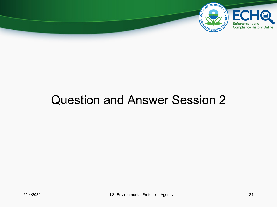

#### Question and Answer Session 2